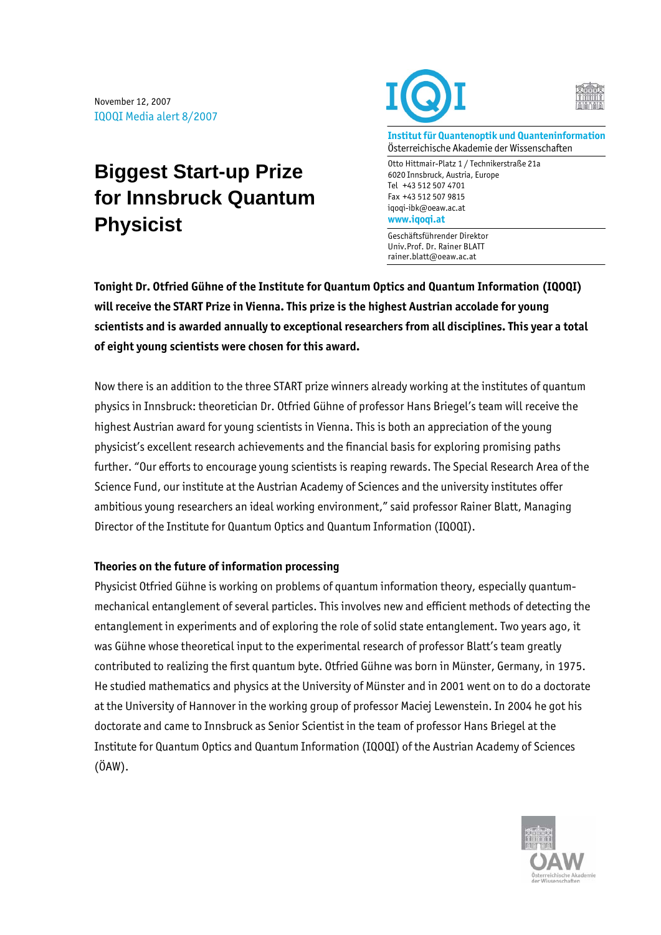## **Biggest Start-up Prize for Innsbruck Quantum Physicist**





**Institut für Quantenoptik und Quanteninformation**  Österreichische Akademie der Wissenschaften

Otto Hittmair-Platz 1 / Technikerstraße 21a 6020 Innsbruck, Austria, Europe Tel +43 512 507 4701 Fax +43 512 507 9815 iqoqi-ibk@oeaw.ac.at **www.iqoqi.at** 

Geschäftsführender Direktor Univ.Prof. Dr. Rainer BLATT rainer.blatt@oeaw.ac.at

**Tonight Dr. Otfried Gühne of the Institute for Quantum Optics and Quantum Information (IQOQI) will receive the START Prize in Vienna. This prize is the highest Austrian accolade for young scientists and is awarded annually to exceptional researchers from all disciplines. This year a total of eight young scientists were chosen for this award.** 

Now there is an addition to the three START prize winners already working at the institutes of quantum physics in Innsbruck: theoretician Dr. Otfried Gühne of professor Hans Briegel's team will receive the highest Austrian award for young scientists in Vienna. This is both an appreciation of the young physicist's excellent research achievements and the financial basis for exploring promising paths further. "Our efforts to encourage young scientists is reaping rewards. The Special Research Area of the Science Fund, our institute at the Austrian Academy of Sciences and the university institutes offer ambitious young researchers an ideal working environment," said professor Rainer Blatt, Managing Director of the Institute for Quantum Optics and Quantum Information (IQOQI).

## **Theories on the future of information processing**

Physicist Otfried Gühne is working on problems of quantum information theory, especially quantummechanical entanglement of several particles. This involves new and efficient methods of detecting the entanglement in experiments and of exploring the role of solid state entanglement. Two years ago, it was Gühne whose theoretical input to the experimental research of professor Blatt's team greatly contributed to realizing the first quantum byte. Otfried Gühne was born in Münster, Germany, in 1975. He studied mathematics and physics at the University of Münster and in 2001 went on to do a doctorate at the University of Hannover in the working group of professor Maciej Lewenstein. In 2004 he got his doctorate and came to Innsbruck as Senior Scientist in the team of professor Hans Briegel at the Institute for Quantum Optics and Quantum Information (IQOQI) of the Austrian Academy of Sciences (ÖAW).